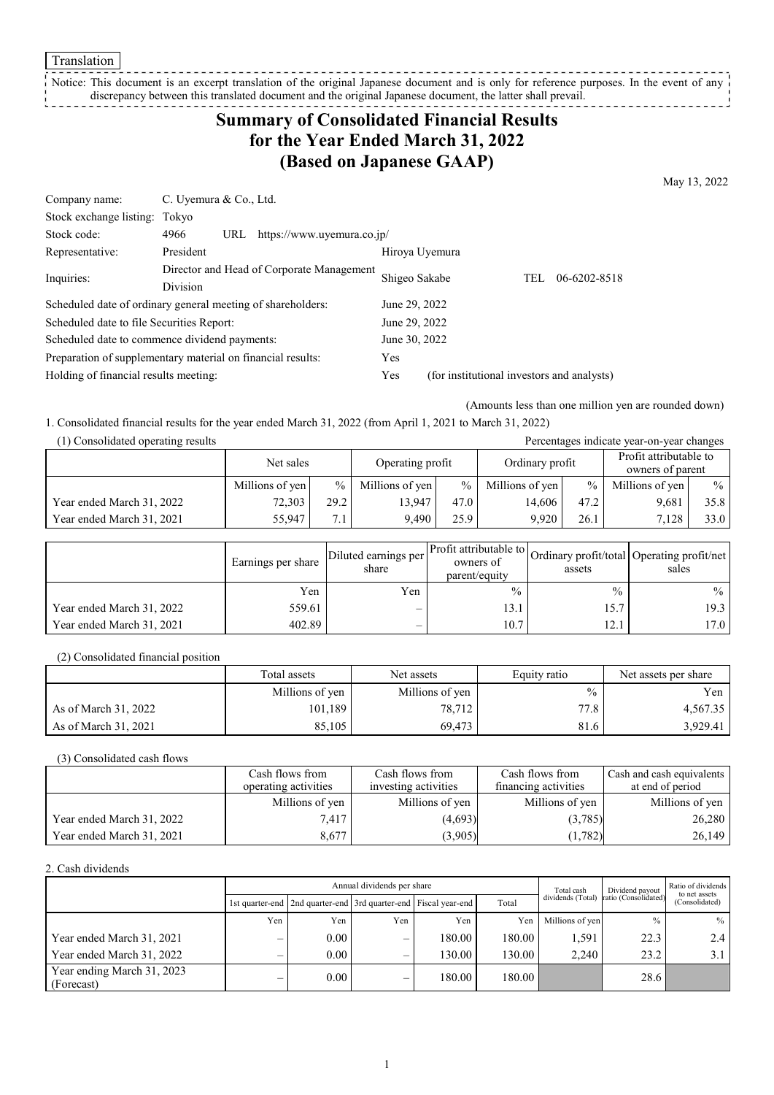**Translation** 

#### \_\_\_\_\_\_\_\_\_\_\_\_\_\_\_\_\_\_\_\_\_\_\_\_\_\_ Notice: This document is an excerpt translation of the original Japanese document and is only for reference purposes. In the event of any discrepancy between this translated document and the original Japanese document, the latter shall prevail.

# **Summary of Consolidated Financial Results for the Year Ended March 31, 2022 (Based on Japanese GAAP)**

May 13, 2022

| Company name:                                               | C. Uyemura & Co., Ltd. |               |                                           |                |                                            |     |              |
|-------------------------------------------------------------|------------------------|---------------|-------------------------------------------|----------------|--------------------------------------------|-----|--------------|
| Stock exchange listing: Tokyo                               |                        |               |                                           |                |                                            |     |              |
| Stock code:                                                 | 4966                   | URL           | https://www.uyemura.co.jp/                |                |                                            |     |              |
| Representative:                                             | President              |               |                                           | Hiroya Uyemura |                                            |     |              |
| Inquiries:                                                  | <b>Division</b>        |               | Director and Head of Corporate Management | Shigeo Sakabe  |                                            | TEL | 06-6202-8518 |
| Scheduled date of ordinary general meeting of shareholders: |                        |               |                                           | June 29, 2022  |                                            |     |              |
| Scheduled date to file Securities Report:                   |                        |               |                                           | June 29, 2022  |                                            |     |              |
| Scheduled date to commence dividend payments:               |                        | June 30, 2022 |                                           |                |                                            |     |              |
| Preparation of supplementary material on financial results: |                        |               |                                           | Yes            |                                            |     |              |
| Holding of financial results meeting:                       |                        |               |                                           | Yes            | (for institutional investors and analysts) |     |              |

(Amounts less than one million yen are rounded down)

1. Consolidated financial results for the year ended March 31, 2022 (from April 1, 2021 to March 31, 2022)

| (1) Consolidated operating results |                 |      |                  |      |                 |      | Percentages indicate year-on-year changes  |      |
|------------------------------------|-----------------|------|------------------|------|-----------------|------|--------------------------------------------|------|
|                                    | Net sales       |      | Operating profit |      | Ordinary profit |      | Profit attributable to<br>owners of parent |      |
|                                    | Millions of yen | $\%$ | Millions of yen  | $\%$ | Millions of yen | $\%$ | Millions of yen                            | $\%$ |
| Year ended March 31, 2022          | 72,303          | 29.2 | 13.947           | 47.0 | 14.606          | 47.2 | 9,681                                      | 35.8 |
| Year ended March 31, 2021          | 55,947          | 7.1  | 9.490            | 25.9 | 9.920           | 26.1 | 7.128                                      | 33.0 |

|                           | Earnings per share | Diluted earnings per<br>share | Profit attributable to<br>owners of<br>parent/equity | assets        | Ordinary profit/total Operating profit/net<br>sales |
|---------------------------|--------------------|-------------------------------|------------------------------------------------------|---------------|-----------------------------------------------------|
|                           | Yen                | Yen                           | $\frac{0}{0}$                                        | $\frac{0}{0}$ | $\%$                                                |
| Year ended March 31, 2022 | 559.61             | $\overline{\phantom{0}}$      | 13.1                                                 | 15.7          | 19.3                                                |
| Year ended March 31, 2021 | 402.89             | $\overline{\phantom{0}}$      | 10.7                                                 | 12.1          | 17.0                                                |

(2) Consolidated financial position

|                      | Total assets    | Net assets      | Equity ratio      | Net assets per share |
|----------------------|-----------------|-----------------|-------------------|----------------------|
|                      | Millions of yen | Millions of yen | $\%$              | Yen                  |
| As of March 31, 2022 | 101,189         | 78,712          | 77.8 <sub>1</sub> | 4,567.35             |
| As of March 31, 2021 | 85.105          | 69.473          | 81.6              | 3,929.41             |

(3) Consolidated cash flows

|                           | Cash flows from      | Cash flows from      | Cash flows from      | Cash and cash equivalents |
|---------------------------|----------------------|----------------------|----------------------|---------------------------|
|                           | operating activities | investing activities | financing activities | at end of period          |
|                           | Millions of yen      | Millions of yen      | Millions of yen      | Millions of yen           |
| Year ended March 31, 2022 | 7.417                | (4,693)              | (3,785)              | 26,280                    |
| Year ended March 31, 2021 | 8.677                | (3,905)              | (1,782)              | 26,149                    |

2. Cash dividends

|                                          | Annual dividends per share |                                                                       |     |        |        |                 | Dividend payout                        | Ratio of dividends<br>to net assets |
|------------------------------------------|----------------------------|-----------------------------------------------------------------------|-----|--------|--------|-----------------|----------------------------------------|-------------------------------------|
|                                          |                            | 1st quarter-end   2nd quarter-end   3rd quarter-end   Fiscal year-end |     |        | Total  |                 | dividends (Total) ratio (Consolidated) | (Consolidated)                      |
|                                          | Yen                        | Yen                                                                   | Yen | Yen    | Yen    | Millions of yen | $\frac{0}{0}$                          | $\%$                                |
| Year ended March 31, 2021                | –                          | $0.00\,$                                                              | –   | 180.00 | 180.00 | 1,591           | 22.3                                   | 2.4                                 |
| Year ended March 31, 2022                | $\overline{\phantom{0}}$   | 0.00                                                                  | –   | 130.00 | 130.00 | 2.240           | 23.2                                   | 3.1                                 |
| Year ending March 31, 2023<br>(Forecast) |                            | 0.00                                                                  | –   | 180.00 | 180.00 |                 | 28.6                                   |                                     |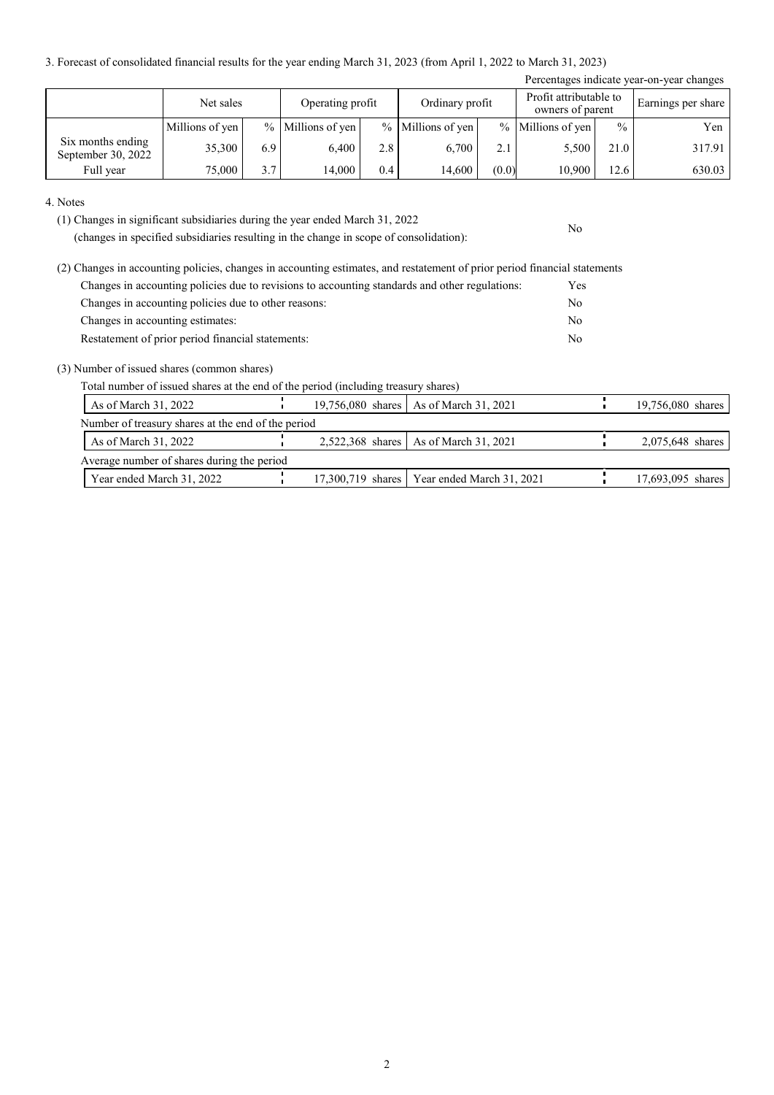3. Forecast of consolidated financial results for the year ending March 31, 2023 (from April 1, 2022 to March 31, 2023)

|                                         |                 |               |                  |     |                   |       |                                            |               | Percentages indicate year-on-year changes |
|-----------------------------------------|-----------------|---------------|------------------|-----|-------------------|-------|--------------------------------------------|---------------|-------------------------------------------|
|                                         | Net sales       |               | Operating profit |     | Ordinary profit   |       | Profit attributable to<br>owners of parent |               | Earnings per share                        |
|                                         | Millions of yen | $\frac{0}{0}$ | Millions of yen  |     | % Millions of yen |       | % Millions of yen                          | $\frac{0}{0}$ | Yen                                       |
| Six months ending<br>September 30, 2022 | 35,300          | 6.9           | 6.400            | 2.8 | 6.700             | 2.1   | 5,500                                      | 21.0          | 317.91                                    |
| Full year                               | 75,000          | 3.7           | 14.000           | 0.4 | 14,600            | (0.0) | 10,900                                     | 12.6          | 630.03                                    |

No

#### 4. Notes

(1) Changes in significant subsidiaries during the year ended March 31, 2022

(changes in specified subsidiaries resulting in the change in scope of consolidation):

| (2) Changes in accounting policies, changes in accounting estimates, and restatement of prior period financial statements |            |
|---------------------------------------------------------------------------------------------------------------------------|------------|
| Changes in accounting policies due to revisions to accounting standards and other regulations:                            | <b>Yes</b> |
| Changes in accounting policies due to other reasons:                                                                      | No         |
| Changes in accounting estimates:                                                                                          | No         |
| Restatement of prior period financial statements:                                                                         | No         |

#### (3) Number of issued shares (common shares)

Total number of issued shares at the end of the period (including treasury shares)

| As of March 31, 2022                               |  | 19,756,080 shares   As of March 31, 2021      | 19,756,080 shares |
|----------------------------------------------------|--|-----------------------------------------------|-------------------|
| Number of treasury shares at the end of the period |  |                                               |                   |
| As of March $31, 2022$                             |  | 2,522,368 shares   As of March 31, 2021       | 2,075,648 shares  |
| Average number of shares during the period         |  |                                               |                   |
| Year ended March 31, 2022                          |  | 17,300,719 shares   Year ended March 31, 2021 | 17,693,095 shares |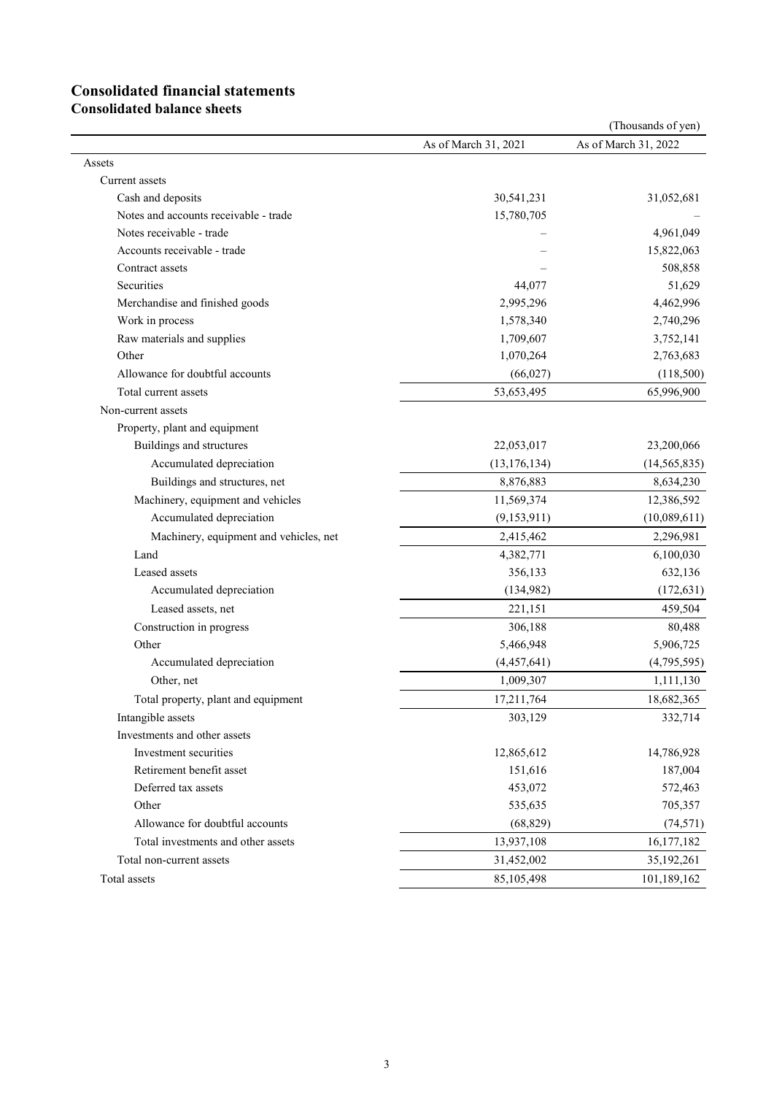# **Consolidated financial statements**

**Consolidated balance sheets**

|                                        |                      | (Thousands of yen)   |
|----------------------------------------|----------------------|----------------------|
|                                        | As of March 31, 2021 | As of March 31, 2022 |
| Assets                                 |                      |                      |
| Current assets                         |                      |                      |
| Cash and deposits                      | 30,541,231           | 31,052,681           |
| Notes and accounts receivable - trade  | 15,780,705           |                      |
| Notes receivable - trade               |                      | 4,961,049            |
| Accounts receivable - trade            |                      | 15,822,063           |
| Contract assets                        |                      | 508,858              |
| Securities                             | 44,077               | 51,629               |
| Merchandise and finished goods         | 2,995,296            | 4,462,996            |
| Work in process                        | 1,578,340            | 2,740,296            |
| Raw materials and supplies             | 1,709,607            | 3,752,141            |
| Other                                  | 1,070,264            | 2,763,683            |
| Allowance for doubtful accounts        | (66, 027)            | (118,500)            |
| Total current assets                   | 53,653,495           | 65,996,900           |
| Non-current assets                     |                      |                      |
| Property, plant and equipment          |                      |                      |
| Buildings and structures               | 22,053,017           | 23,200,066           |
| Accumulated depreciation               | (13, 176, 134)       | (14, 565, 835)       |
| Buildings and structures, net          | 8,876,883            | 8,634,230            |
| Machinery, equipment and vehicles      | 11,569,374           | 12,386,592           |
| Accumulated depreciation               | (9,153,911)          | (10,089,611)         |
| Machinery, equipment and vehicles, net | 2,415,462            | 2,296,981            |
| Land                                   | 4,382,771            | 6,100,030            |
| Leased assets                          | 356,133              | 632,136              |
| Accumulated depreciation               | (134, 982)           | (172, 631)           |
| Leased assets, net                     | 221,151              | 459,504              |
| Construction in progress               | 306,188              | 80,488               |
| Other                                  | 5,466,948            | 5,906,725            |
| Accumulated depreciation               | (4,457,641)          | (4,795,595)          |
| Other, net                             | 1,009,307            | 1,111,130            |
| Total property, plant and equipment    | 17,211,764           | 18,682,365           |
| Intangible assets                      | 303,129              | 332,714              |
| Investments and other assets           |                      |                      |
| Investment securities                  | 12,865,612           | 14,786,928           |
| Retirement benefit asset               | 151,616              | 187,004              |
| Deferred tax assets                    | 453,072              | 572,463              |
| Other                                  | 535,635              | 705,357              |
| Allowance for doubtful accounts        | (68, 829)            | (74, 571)            |
| Total investments and other assets     | 13,937,108           | 16,177,182           |
| Total non-current assets               | 31,452,002           | 35,192,261           |
| Total assets                           | 85,105,498           | 101,189,162          |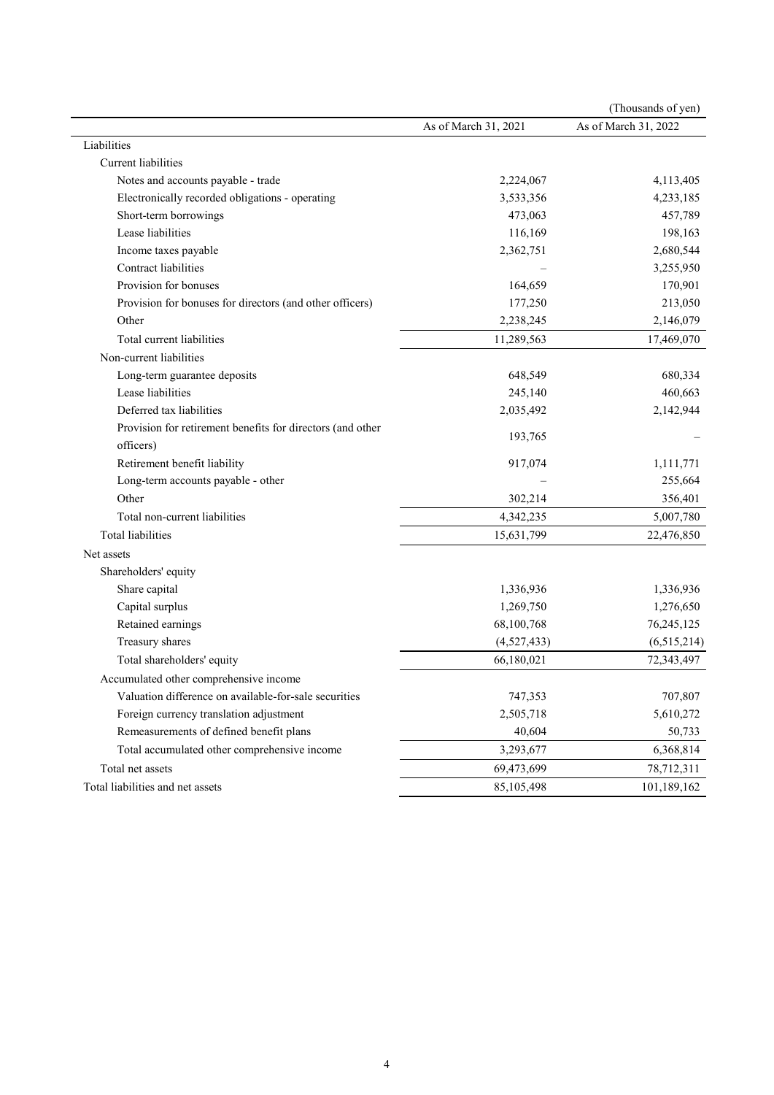|                                                            |                      | (Thousands of yen)   |
|------------------------------------------------------------|----------------------|----------------------|
|                                                            | As of March 31, 2021 | As of March 31, 2022 |
| Liabilities                                                |                      |                      |
| <b>Current</b> liabilities                                 |                      |                      |
| Notes and accounts payable - trade                         | 2,224,067            | 4,113,405            |
| Electronically recorded obligations - operating            | 3,533,356            | 4,233,185            |
| Short-term borrowings                                      | 473,063              | 457,789              |
| Lease liabilities                                          | 116,169              | 198,163              |
| Income taxes payable                                       | 2,362,751            | 2,680,544            |
| Contract liabilities                                       |                      | 3,255,950            |
| Provision for bonuses                                      | 164,659              | 170,901              |
| Provision for bonuses for directors (and other officers)   | 177,250              | 213,050              |
| Other                                                      | 2,238,245            | 2,146,079            |
| Total current liabilities                                  | 11,289,563           | 17,469,070           |
| Non-current liabilities                                    |                      |                      |
| Long-term guarantee deposits                               | 648,549              | 680,334              |
| Lease liabilities                                          | 245,140              | 460,663              |
| Deferred tax liabilities                                   | 2,035,492            | 2,142,944            |
| Provision for retirement benefits for directors (and other |                      |                      |
| officers)                                                  | 193,765              |                      |
| Retirement benefit liability                               | 917,074              | 1,111,771            |
| Long-term accounts payable - other                         |                      | 255,664              |
| Other                                                      | 302,214              | 356,401              |
| Total non-current liabilities                              | 4,342,235            | 5,007,780            |
| <b>Total liabilities</b>                                   | 15,631,799           | 22,476,850           |
| Net assets                                                 |                      |                      |
| Shareholders' equity                                       |                      |                      |
| Share capital                                              | 1,336,936            | 1,336,936            |
| Capital surplus                                            | 1,269,750            | 1,276,650            |
| Retained earnings                                          | 68,100,768           | 76,245,125           |
| Treasury shares                                            | (4,527,433)          | (6,515,214)          |
| Total shareholders' equity                                 | 66,180,021           | 72,343,497           |
| Accumulated other comprehensive income                     |                      |                      |
| Valuation difference on available-for-sale securities      | 747,353              | 707,807              |
| Foreign currency translation adjustment                    | 2,505,718            | 5,610,272            |
| Remeasurements of defined benefit plans                    | 40,604               | 50,733               |
| Total accumulated other comprehensive income               | 3,293,677            | 6,368,814            |
| Total net assets                                           | 69,473,699           | 78,712,311           |
| Total liabilities and net assets                           | 85,105,498           | 101,189,162          |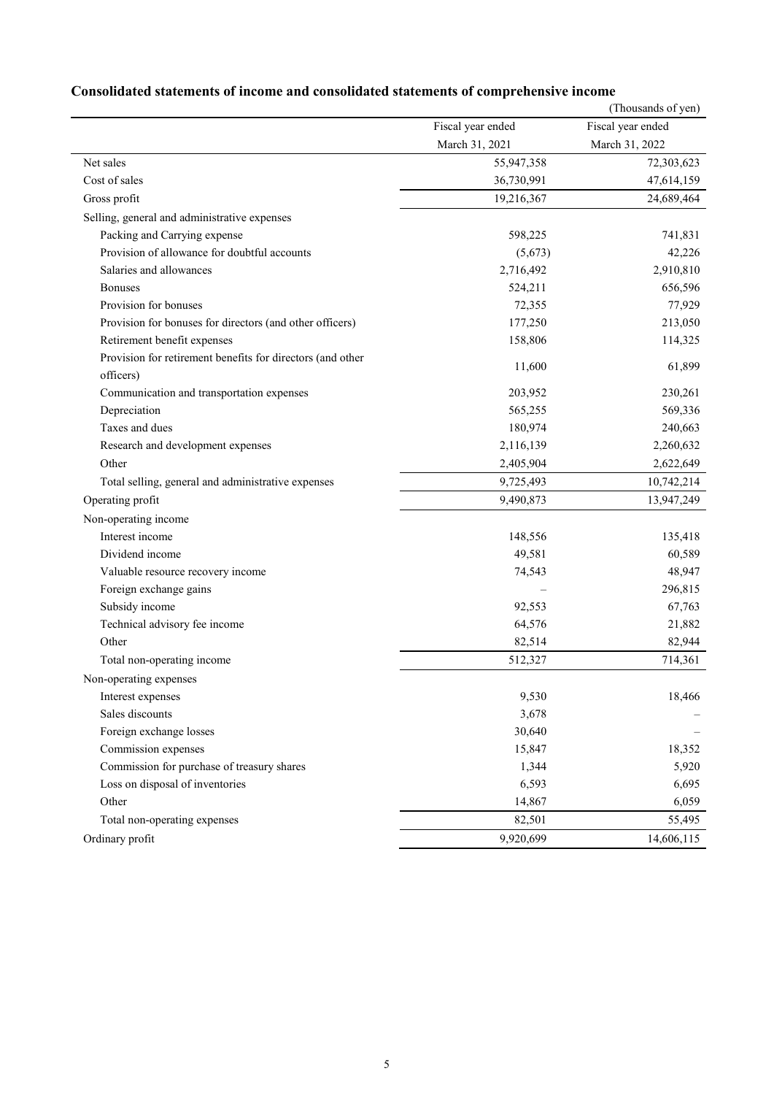|                                                            |                   | (Thousands of yen) |
|------------------------------------------------------------|-------------------|--------------------|
|                                                            | Fiscal year ended | Fiscal year ended  |
|                                                            | March 31, 2021    | March 31, 2022     |
| Net sales                                                  | 55,947,358        | 72,303,623         |
| Cost of sales                                              | 36,730,991        | 47,614,159         |
| Gross profit                                               | 19,216,367        | 24,689,464         |
| Selling, general and administrative expenses               |                   |                    |
| Packing and Carrying expense                               | 598,225           | 741,831            |
| Provision of allowance for doubtful accounts               | (5,673)           | 42,226             |
| Salaries and allowances                                    | 2,716,492         | 2,910,810          |
| <b>Bonuses</b>                                             | 524,211           | 656,596            |
| Provision for bonuses                                      | 72,355            | 77,929             |
| Provision for bonuses for directors (and other officers)   | 177,250           | 213,050            |
| Retirement benefit expenses                                | 158,806           | 114,325            |
| Provision for retirement benefits for directors (and other |                   |                    |
| officers)                                                  | 11,600            | 61,899             |
| Communication and transportation expenses                  | 203,952           | 230,261            |
| Depreciation                                               | 565,255           | 569,336            |
| Taxes and dues                                             | 180,974           | 240,663            |
| Research and development expenses                          | 2,116,139         | 2,260,632          |
| Other                                                      | 2,405,904         | 2,622,649          |
| Total selling, general and administrative expenses         | 9,725,493         | 10,742,214         |
| Operating profit                                           | 9,490,873         | 13,947,249         |
| Non-operating income                                       |                   |                    |
| Interest income                                            | 148,556           | 135,418            |
| Dividend income                                            | 49,581            | 60,589             |
| Valuable resource recovery income                          | 74,543            | 48,947             |
| Foreign exchange gains                                     |                   | 296,815            |
| Subsidy income                                             | 92,553            | 67,763             |
| Technical advisory fee income                              | 64,576            | 21,882             |
| Other                                                      | 82,514            | 82,944             |
| Total non-operating income                                 | 512,327           | 714,361            |
| Non-operating expenses                                     |                   |                    |
| Interest expenses                                          | 9,530             | 18,466             |
| Sales discounts                                            | 3,678             |                    |
| Foreign exchange losses                                    | 30,640            |                    |
| Commission expenses                                        | 15,847            | 18,352             |
| Commission for purchase of treasury shares                 | 1,344             | 5,920              |
| Loss on disposal of inventories                            | 6,593             | 6,695              |
| Other                                                      | 14,867            | 6,059              |
| Total non-operating expenses                               | 82,501            | 55,495             |
| Ordinary profit                                            | 9,920,699         | 14,606,115         |

# **Consolidated statements of income and consolidated statements of comprehensive income**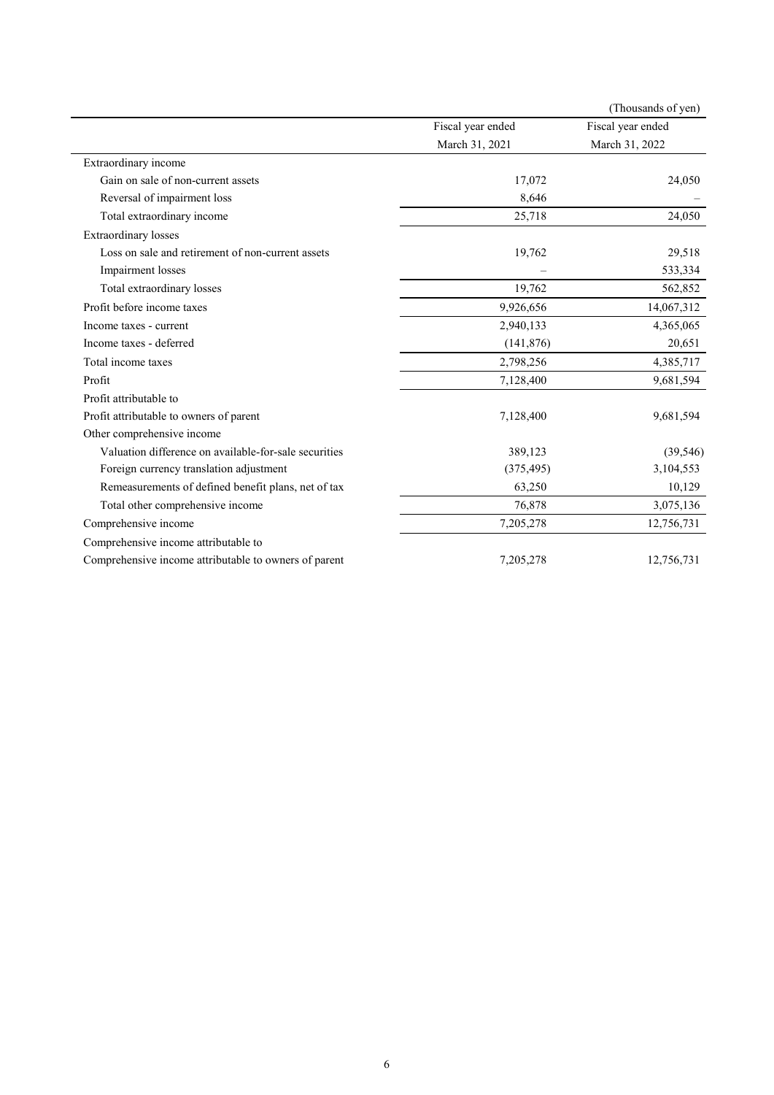|                                                       |                   | (Thousands of yen) |
|-------------------------------------------------------|-------------------|--------------------|
|                                                       | Fiscal year ended | Fiscal year ended  |
|                                                       | March 31, 2021    | March 31, 2022     |
| Extraordinary income                                  |                   |                    |
| Gain on sale of non-current assets                    | 17,072            | 24,050             |
| Reversal of impairment loss                           | 8,646             |                    |
| Total extraordinary income                            | 25,718            | 24,050             |
| Extraordinary losses                                  |                   |                    |
| Loss on sale and retirement of non-current assets     | 19,762            | 29,518             |
| Impairment losses                                     |                   | 533,334            |
| Total extraordinary losses                            | 19,762            | 562,852            |
| Profit before income taxes                            | 9,926,656         | 14,067,312         |
| Income taxes - current                                | 2,940,133         | 4,365,065          |
| Income taxes - deferred                               | (141, 876)        | 20,651             |
| Total income taxes                                    | 2,798,256         | 4,385,717          |
| Profit                                                | 7,128,400         | 9,681,594          |
| Profit attributable to                                |                   |                    |
| Profit attributable to owners of parent               | 7,128,400         | 9,681,594          |
| Other comprehensive income                            |                   |                    |
| Valuation difference on available-for-sale securities | 389,123           | (39, 546)          |
| Foreign currency translation adjustment               | (375, 495)        | 3,104,553          |
| Remeasurements of defined benefit plans, net of tax   | 63,250            | 10,129             |
| Total other comprehensive income                      | 76,878            | 3,075,136          |
| Comprehensive income                                  | 7,205,278         | 12,756,731         |
| Comprehensive income attributable to                  |                   |                    |
| Comprehensive income attributable to owners of parent | 7,205,278         | 12,756,731         |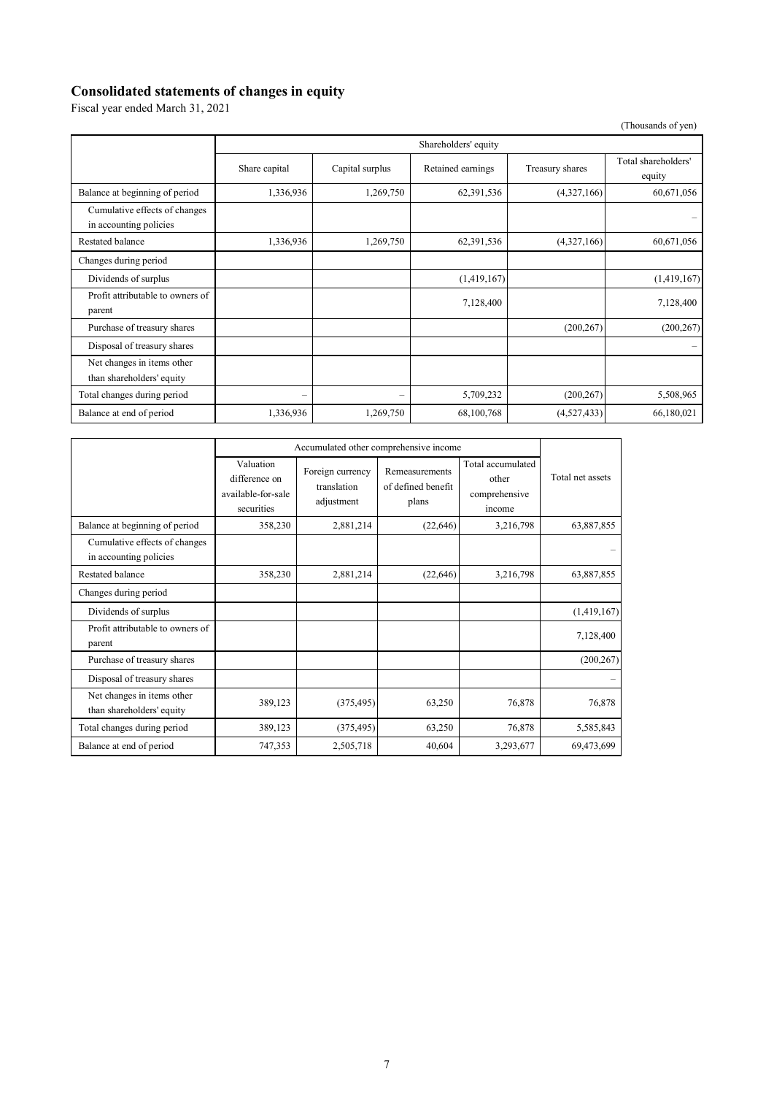### **Consolidated statements of changes in equity**

Fiscal year ended March 31, 2021

(Thousands of yen)

|                                                         | Shareholders' equity     |                   |                   |                 |                               |
|---------------------------------------------------------|--------------------------|-------------------|-------------------|-----------------|-------------------------------|
|                                                         | Share capital            | Capital surplus   | Retained earnings | Treasury shares | Total shareholders'<br>equity |
| Balance at beginning of period                          | 1,336,936                | 1,269,750         | 62,391,536        | (4,327,166)     | 60,671,056                    |
| Cumulative effects of changes<br>in accounting policies |                          |                   |                   |                 |                               |
| Restated balance                                        | 1,336,936                | 1,269,750         | 62,391,536        | (4,327,166)     | 60,671,056                    |
| Changes during period                                   |                          |                   |                   |                 |                               |
| Dividends of surplus                                    |                          |                   | (1,419,167)       |                 | (1,419,167)                   |
| Profit attributable to owners of<br>parent              |                          |                   | 7,128,400         |                 | 7,128,400                     |
| Purchase of treasury shares                             |                          |                   |                   | (200, 267)      | (200, 267)                    |
| Disposal of treasury shares                             |                          |                   |                   |                 |                               |
| Net changes in items other<br>than shareholders' equity |                          |                   |                   |                 |                               |
| Total changes during period                             | $\overline{\phantom{m}}$ | $\qquad \qquad =$ | 5,709,232         | (200, 267)      | 5,508,965                     |
| Balance at end of period                                | 1,336,936                | 1,269,750         | 68,100,768        | (4,527,433)     | 66,180,021                    |

|                                                         | Accumulated other comprehensive income                         |                                               |                                               |                                                       |                  |
|---------------------------------------------------------|----------------------------------------------------------------|-----------------------------------------------|-----------------------------------------------|-------------------------------------------------------|------------------|
|                                                         | Valuation<br>difference on<br>available-for-sale<br>securities | Foreign currency<br>translation<br>adjustment | Remeasurements<br>of defined benefit<br>plans | Total accumulated<br>other<br>comprehensive<br>income | Total net assets |
| Balance at beginning of period                          | 358,230                                                        | 2,881,214                                     | (22,646)                                      | 3,216,798                                             | 63,887,855       |
| Cumulative effects of changes<br>in accounting policies |                                                                |                                               |                                               |                                                       |                  |
| Restated balance                                        | 358,230                                                        | 2,881,214                                     | (22, 646)                                     | 3,216,798                                             | 63,887,855       |
| Changes during period                                   |                                                                |                                               |                                               |                                                       |                  |
| Dividends of surplus                                    |                                                                |                                               |                                               |                                                       | (1,419,167)      |
| Profit attributable to owners of<br>parent              |                                                                |                                               |                                               |                                                       | 7,128,400        |
| Purchase of treasury shares                             |                                                                |                                               |                                               |                                                       | (200, 267)       |
| Disposal of treasury shares                             |                                                                |                                               |                                               |                                                       |                  |
| Net changes in items other<br>than shareholders' equity | 389,123                                                        | (375, 495)                                    | 63,250                                        | 76,878                                                | 76,878           |
| Total changes during period                             | 389,123                                                        | (375, 495)                                    | 63,250                                        | 76,878                                                | 5,585,843        |
| Balance at end of period                                | 747,353                                                        | 2,505,718                                     | 40,604                                        | 3,293,677                                             | 69,473,699       |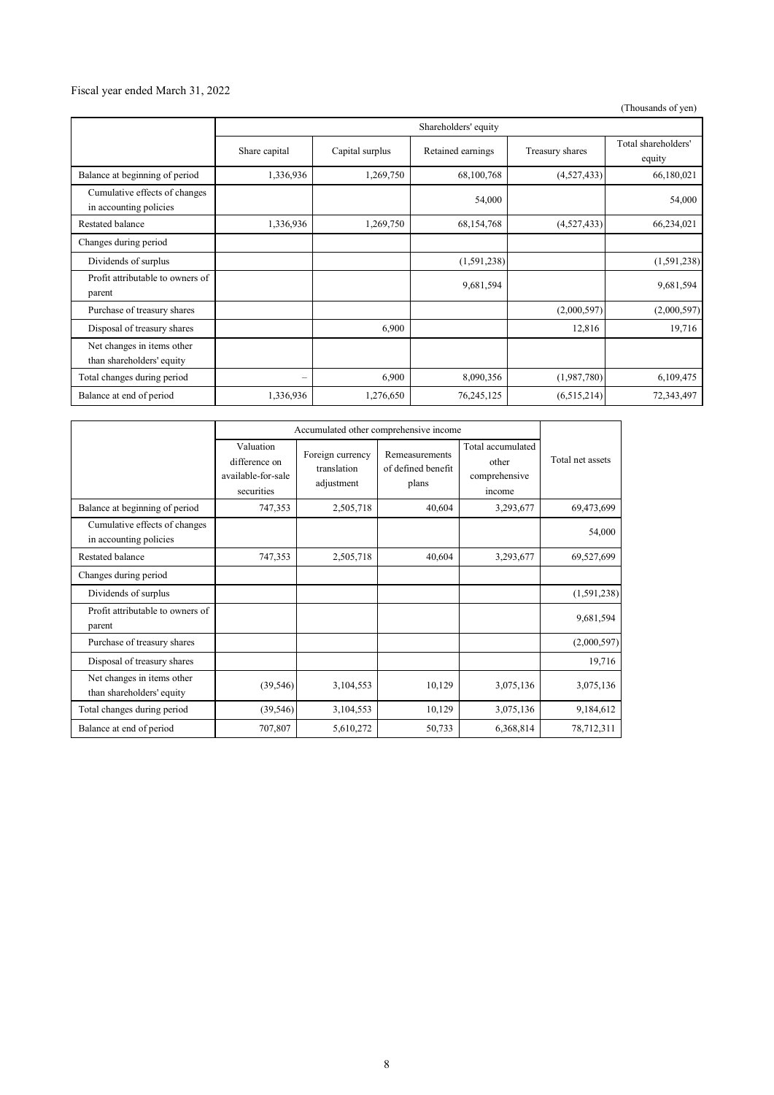### Fiscal year ended March 31, 2022

(Thousands of yen)

|                                                         | Shareholders' equity |                 |                   |                 |                               |
|---------------------------------------------------------|----------------------|-----------------|-------------------|-----------------|-------------------------------|
|                                                         | Share capital        | Capital surplus | Retained earnings | Treasury shares | Total shareholders'<br>equity |
| Balance at beginning of period                          | 1,336,936            | 1,269,750       | 68,100,768        | (4,527,433)     | 66,180,021                    |
| Cumulative effects of changes<br>in accounting policies |                      |                 | 54,000            |                 | 54,000                        |
| Restated balance                                        | 1,336,936            | 1,269,750       | 68,154,768        | (4,527,433)     | 66,234,021                    |
| Changes during period                                   |                      |                 |                   |                 |                               |
| Dividends of surplus                                    |                      |                 | (1,591,238)       |                 | (1,591,238)                   |
| Profit attributable to owners of<br>parent              |                      |                 | 9,681,594         |                 | 9,681,594                     |
| Purchase of treasury shares                             |                      |                 |                   | (2,000,597)     | (2,000,597)                   |
| Disposal of treasury shares                             |                      | 6,900           |                   | 12,816          | 19,716                        |
| Net changes in items other<br>than shareholders' equity |                      |                 |                   |                 |                               |
| Total changes during period                             |                      | 6,900           | 8,090,356         | (1,987,780)     | 6,109,475                     |
| Balance at end of period                                | 1,336,936            | 1,276,650       | 76,245,125        | (6,515,214)     | 72,343,497                    |

|                                                         | Accumulated other comprehensive income                         |                                               |                                               |                                                       |                  |
|---------------------------------------------------------|----------------------------------------------------------------|-----------------------------------------------|-----------------------------------------------|-------------------------------------------------------|------------------|
|                                                         | Valuation<br>difference on<br>available-for-sale<br>securities | Foreign currency<br>translation<br>adjustment | Remeasurements<br>of defined benefit<br>plans | Total accumulated<br>other<br>comprehensive<br>income | Total net assets |
| Balance at beginning of period                          | 747,353                                                        | 2,505,718                                     | 40,604                                        | 3,293,677                                             | 69,473,699       |
| Cumulative effects of changes<br>in accounting policies |                                                                |                                               |                                               |                                                       | 54,000           |
| <b>Restated balance</b>                                 | 747,353                                                        | 2,505,718                                     | 40,604                                        | 3,293,677                                             | 69,527,699       |
| Changes during period                                   |                                                                |                                               |                                               |                                                       |                  |
| Dividends of surplus                                    |                                                                |                                               |                                               |                                                       | (1,591,238)      |
| Profit attributable to owners of<br>parent              |                                                                |                                               |                                               |                                                       | 9,681,594        |
| Purchase of treasury shares                             |                                                                |                                               |                                               |                                                       | (2,000,597)      |
| Disposal of treasury shares                             |                                                                |                                               |                                               |                                                       | 19,716           |
| Net changes in items other<br>than shareholders' equity | (39, 546)                                                      | 3,104,553                                     | 10,129                                        | 3,075,136                                             | 3,075,136        |
| Total changes during period                             | (39, 546)                                                      | 3,104,553                                     | 10,129                                        | 3,075,136                                             | 9,184,612        |
| Balance at end of period                                | 707,807                                                        | 5,610,272                                     | 50,733                                        | 6,368,814                                             | 78,712,311       |